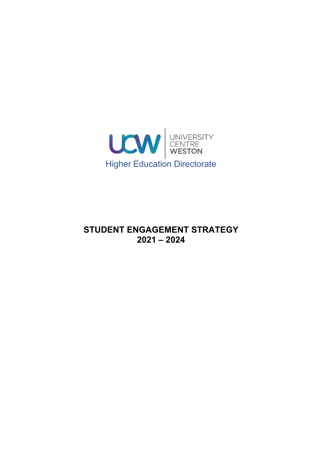

# **STUDENT ENGAGEMENT STRATEGY 2021 – 2024**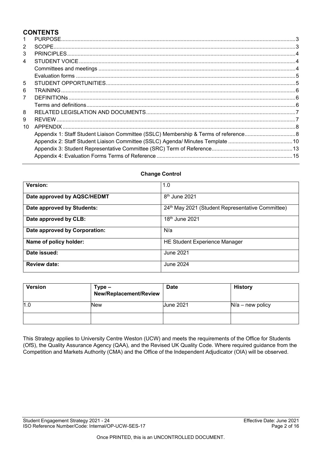# **CONTENTS**

| 1              |  |
|----------------|--|
| 2              |  |
| 3              |  |
| 4              |  |
|                |  |
|                |  |
| 5              |  |
| 6              |  |
| $\overline{7}$ |  |
|                |  |
| 8              |  |
| 9              |  |
| 10             |  |
|                |  |
|                |  |
|                |  |
|                |  |
|                |  |

# **Change Control**

| Version:                      | 1.0                                                          |
|-------------------------------|--------------------------------------------------------------|
| Date approved by AQSC/HEDMT   | 8 <sup>th</sup> June 2021                                    |
| Date approved by Students:    | 24 <sup>th</sup> May 2021 (Student Representative Committee) |
| Date approved by CLB:         | 18th June 2021                                               |
| Date approved by Corporation: | N/a                                                          |
| Name of policy holder:        | <b>HE Student Experience Manager</b>                         |
| Date issued:                  | June 2021                                                    |
| <b>Review date:</b>           | June 2024                                                    |

| <b>Version</b> | Type –<br>New/Replacement/Review | <b>Date</b>      | <b>History</b>     |
|----------------|----------------------------------|------------------|--------------------|
| 1.0            | New                              | <b>June 2021</b> | $N/a$ – new policy |
|                |                                  |                  |                    |

This Strategy applies to University Centre Weston (UCW) and meets the requirements of the Office for Students (OfS), the Quality Assurance Agency (QAA), and the Revised UK Quality Code. Where required guidance from the Competition and Markets Authority (CMA) and the Office of the Independent Adjudicator (OIA) will be observed.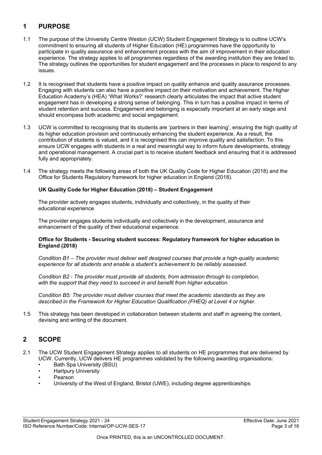# <span id="page-2-0"></span>**1 PURPOSE**

- 1.1 The purpose of the University Centre Weston (UCW) Student Engagement Strategy is to outline UCW's commitment to ensuring all students of Higher Education (HE) programmes have the opportunity to participate in quality assurance and enhancement process with the aim of improvement in their education experience. The strategy applies to all programmes regardless of the awarding institution they are linked to. The strategy outlines the opportunities for student engagement and the processes in place to respond to any issues.
- 1.2 It is recognised that students have a positive impact on quality enhance and quality assurance processes. Engaging with students can also have a positive impact on their motivation and achievement. The Higher Education Academy's (HEA) 'What Works?' research clearly articulates the impact that active student engagement has in developing a strong sense of belonging. This in turn has a positive impact in terms of student retention and success. Engagement and belonging is especially important at an early stage and should encompass both academic and social engagement.
- 1.3 UCW is committed to recognising that its students are 'partners in their learning', ensuring the high quality of its higher education provision and continuously enhancing the student experience. As a result, the contribution of students is valued, and it is recognised this can improve quality and satisfaction. To this ensure UCW engages with students in a real and meaningful way to inform future developments, strategy and operational management. A crucial part is to receive student feedback and ensuring that it is addressed fully and appropriately.
- 1.4 The strategy meets the following areas of both the UK Quality Code for Higher Education (2018) and the Office for Students Regulatory framework for higher education in England (2018).

#### **UK Quality Code for Higher Education (2018) – Student Engagement**

The provider actively engages students, individually and collectively, in the quality of their educational experience.

The provider engages students individually and collectively in the development, assurance and enhancement of the quality of their educational experience.

#### **Office for Students - Securing student success: Regulatory framework for higher education in England (2018)**

*Condition B1 – The provider must deliver well designed courses that provide a high-quality academic experience for all students and enable a student's achievement to be reliably assessed.*

*Condition B2 - The provider must provide all students, from admission through to completion, with the support that they need to succeed in and benefit from higher education.*

*Condition B5: The provider must deliver courses that meet the academic standards as they are described in the Framework for Higher Education Qualification (FHEQ) at Level 4 or higher.*

1.5 This strategy has been developed in collaboration between students and staff in agreeing the content, devising and writing of the document.

### <span id="page-2-1"></span>**2 SCOPE**

- 2.1 The UCW Student Engagement Strategy applies to all students on HE programmes that are delivered by UCW. Currently, UCW delivers HE programmes validated by the following awarding organisations:
	- Bath Spa University (BSU)
	- Hartpury University
	- Pearson
	- University of the West of England, Bristol (UWE), including degree apprenticeships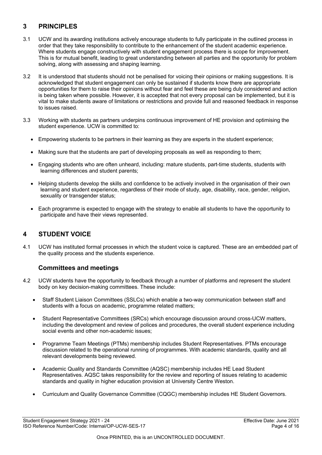# <span id="page-3-0"></span>**3 PRINCIPLES**

- 3.1 UCW and its awarding institutions actively encourage students to fully participate in the outlined process in order that they take responsibility to contribute to the enhancement of the student academic experience. Where students engage constructively with student engagement process there is scope for improvement. This is for mutual benefit, leading to great understanding between all parties and the opportunity for problem solving, along with assessing and shaping learning.
- 3.2 It is understood that students should not be penalised for voicing their opinions or making suggestions. It is acknowledged that student engagement can only be sustained if students know there are appropriate opportunities for them to raise their opinions without fear and feel these are being duly considered and action is being taken where possible. However, it is accepted that not every proposal can be implemented, but it is vital to make students aware of limitations or restrictions and provide full and reasoned feedback in response to issues raised.
- 3.3 Working with students as partners underpins continuous improvement of HE provision and optimising the student experience. UCW is committed to:
	- Empowering students to be partners in their learning as they are experts in the student experience;
	- Making sure that the students are part of developing proposals as well as responding to them;
	- Engaging students who are often unheard, including: mature students, part-time students, students with learning differences and student parents;
	- Helping students develop the skills and confidence to be actively involved in the organisation of their own learning and student experience, regardless of their mode of study, age, disability, race, gender, religion, sexuality or transgender status;
	- Each programme is expected to engage with the strategy to enable all students to have the opportunity to participate and have their views represented.

# <span id="page-3-1"></span>**4 STUDENT VOICE**

4.1 UCW has instituted formal processes in which the student voice is captured. These are an embedded part of the quality process and the students experience.

# **Committees and meetings**

- <span id="page-3-2"></span>4.2 UCW students have the opportunity to feedback through a number of platforms and represent the student body on key decision-making committees. These include:
	- Staff Student Liaison Committees (SSLCs) which enable a two-way communication between staff and students with a focus on academic, programme related matters;
	- Student Representative Committees (SRCs) which encourage discussion around cross-UCW matters, including the development and review of polices and procedures, the overall student experience including social events and other non-academic issues;
	- Programme Team Meetings (PTMs) membership includes Student Representatives. PTMs encourage discussion related to the operational running of programmes. With academic standards, quality and all relevant developments being reviewed.
	- Academic Quality and Standards Committee (AQSC) membership includes HE Lead Student Representatives. AQSC takes responsibility for the review and reporting of issues relating to academic standards and quality in higher education provision at University Centre Weston.
	- Curriculum and Quality Governance Committee (CQGC) membership includes HE Student Governors.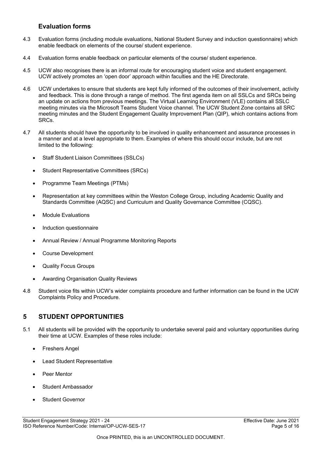### **Evaluation forms**

- <span id="page-4-0"></span>4.3 Evaluation forms (including module evaluations, National Student Survey and induction questionnaire) which enable feedback on elements of the course/ student experience.
- 4.4 Evaluation forms enable feedback on particular elements of the course/ student experience.
- 4.5 UCW also recognises there is an informal route for encouraging student voice and student engagement. UCW actively promotes an 'open door' approach within faculties and the HE Directorate.
- 4.6 UCW undertakes to ensure that students are kept fully informed of the outcomes of their involvement, activity and feedback. This is done through a range of method. The first agenda item on all SSLCs and SRCs being an update on actions from previous meetings. The Virtual Learning Environment (VLE) contains all SSLC meeting minutes via the Microsoft Teams Student Voice channel. The UCW Student Zone contains all SRC meeting minutes and the Student Engagement Quality Improvement Plan (QIP), which contains actions from SRCs.
- 4.7 All students should have the opportunity to be involved in quality enhancement and assurance processes in a manner and at a level appropriate to them. Examples of where this should occur include, but are not limited to the following:
	- Staff Student Liaison Committees (SSLCs)
	- Student Representative Committees (SRCs)
	- Programme Team Meetings (PTMs)
	- Representation at key committees within the Weston College Group, including Academic Quality and Standards Committee (AQSC) and Curriculum and Quality Governance Committee (CQSC).
	- Module Evaluations
	- Induction questionnaire
	- Annual Review / Annual Programme Monitoring Reports
	- Course Development
	- Quality Focus Groups
	- Awarding Organisation Quality Reviews
- 4.8 Student voice fits within UCW's wider complaints procedure and further information can be found in the UCW Complaints Policy and Procedure.

# <span id="page-4-1"></span>**5 STUDENT OPPORTUNITIES**

- 5.1 All students will be provided with the opportunity to undertake several paid and voluntary opportunities during their time at UCW. Examples of these roles include:
	- **Freshers Angel**
	- Lead Student Representative
	- Peer Mentor
	- Student Ambassador
	- Student Governor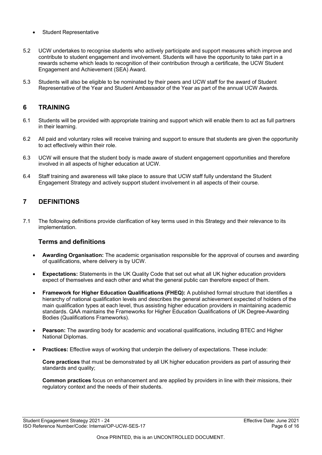- **Student Representative**
- 5.2 UCW undertakes to recognise students who actively participate and support measures which improve and contribute to student engagement and involvement. Students will have the opportunity to take part in a rewards scheme which leads to recognition of their contribution through a certificate, the UCW Student Engagement and Achievement (SEA) Award.
- 5.3 Students will also be eligible to be nominated by their peers and UCW staff for the award of Student Representative of the Year and Student Ambassador of the Year as part of the annual UCW Awards.

### <span id="page-5-0"></span>**6 TRAINING**

- 6.1 Students will be provided with appropriate training and support which will enable them to act as full partners in their learning.
- 6.2 All paid and voluntary roles will receive training and support to ensure that students are given the opportunity to act effectively within their role.
- 6.3 UCW will ensure that the student body is made aware of student engagement opportunities and therefore involved in all aspects of higher education at UCW.
- 6.4 Staff training and awareness will take place to assure that UCW staff fully understand the Student Engagement Strategy and actively support student involvement in all aspects of their course.

# <span id="page-5-1"></span>**7 DEFINITIONS**

7.1 The following definitions provide clarification of key terms used in this Strategy and their relevance to its implementation.

### <span id="page-5-2"></span>**Terms and definitions**

- **Awarding Organisation:** The academic organisation responsible for the approval of courses and awarding of qualifications, where delivery is by UCW.
- **Expectations:** Statements in the UK Quality Code that set out what all UK higher education providers expect of themselves and each other and what the general public can therefore expect of them.
- **Framework for Higher Education Qualifications (FHEQ):** A published formal structure that identifies a hierarchy of national qualification levels and describes the general achievement expected of holders of the main qualification types at each level, thus assisting higher education providers in maintaining academic standards. QAA maintains the Frameworks for Higher Education Qualifications of UK Degree-Awarding Bodies (Qualifications Frameworks).
- **Pearson:** The awarding body for academic and vocational qualifications, including BTEC and Higher National Diplomas.
- **Practices:** Effective ways of working that underpin the delivery of expectations. These include:

**Core practices** that must be demonstrated by all UK higher education providers as part of assuring their standards and quality;

**Common practices** focus on enhancement and are applied by providers in line with their missions, their regulatory context and the needs of their students.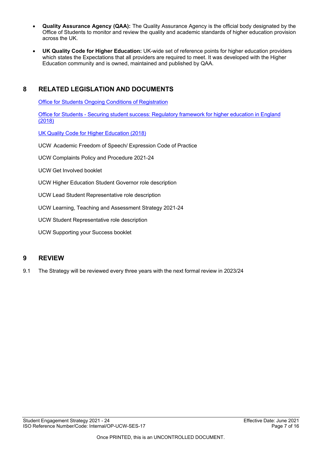- **Quality Assurance Agency (QAA):** The Quality Assurance Agency is the official body designated by the Office of Students to monitor and review the quality and academic standards of higher education provision across the UK.
- **UK Quality Code for Higher Education:** UK-wide set of reference points for higher education providers which states the Expectations that all providers are required to meet. It was developed with the Higher Education community and is owned, maintained and published by QAA.

# <span id="page-6-0"></span>**8 RELATED LEGISLATION AND DOCUMENTS**

**Office for Students Ongoing Conditions of [Registration](https://www.officeforstudents.org.uk/advice-and-guidance/regulation/conditions-of-registration/initial-and-general-ongoing-conditions-of-registration/)** 

Office for [Students - Securing](https://www.officeforstudents.org.uk/media/1406/ofs2018_01.pdf) student success: Regulatory framework for higher education in England [\(2018\)](https://www.officeforstudents.org.uk/media/1406/ofs2018_01.pdf)

UK Quality Code for [Higher Education](https://www.qaa.ac.uk/quality-code) (2018)

UCW Academic Freedom of Speech/ Expression Code of Practice

UCW Complaints Policy and Procedure 2021-24

UCW Get Involved booklet

UCW Higher Education Student Governor role description

UCW Lead Student Representative role description

UCW Learning, Teaching and Assessment Strategy 2021-24

UCW Student Representative role description

UCW Supporting your Success booklet

### <span id="page-6-1"></span>**9 REVIEW**

9.1 The Strategy will be reviewed every three years with the next formal review in 2023/24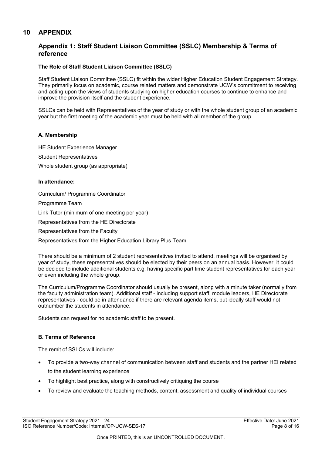### <span id="page-7-1"></span><span id="page-7-0"></span>**10 APPENDIX**

### **Appendix 1: Staff Student Liaison Committee (SSLC) Membership & Terms of reference**

#### **The Role of Staff Student Liaison Committee (SSLC)**

Staff Student Liaison Committee (SSLC) fit within the wider Higher Education Student Engagement Strategy. They primarily focus on academic, course related matters and demonstrate UCW's commitment to receiving and acting upon the views of students studying on higher education courses to continue to enhance and improve the provision itself and the student experience.

SSLCs can be held with Representatives of the year of study or with the whole student group of an academic year but the first meeting of the academic year must be held with all member of the group.

#### **A. Membership**

HE Student Experience Manager

Student Representatives

Whole student group (as appropriate)

#### **In attendance:**

Curriculum/ Programme Coordinator

Programme Team

Link Tutor (minimum of one meeting per year)

Representatives from the HE Directorate

Representatives from the Faculty

Representatives from the Higher Education Library Plus Team

There should be a minimum of 2 student representatives invited to attend, meetings will be organised by year of study, these representatives should be elected by their peers on an annual basis. However, it could be decided to include additional students e.g. having specific part time student representatives for each year or even including the whole group.

The Curriculum/Programme Coordinator should usually be present, along with a minute taker (normally from the faculty administration team). Additional staff - including support staff, module leaders, HE Directorate representatives - could be in attendance if there are relevant agenda items, but ideally staff would not outnumber the students in attendance.

Students can request for no academic staff to be present.

#### **B. Terms of Reference**

The remit of SSLCs will include:

- To provide a two-way channel of communication between staff and students and the partner HEI related to the student learning experience
- To highlight best practice, along with constructively critiquing the course
- To review and evaluate the teaching methods, content, assessment and quality of individual courses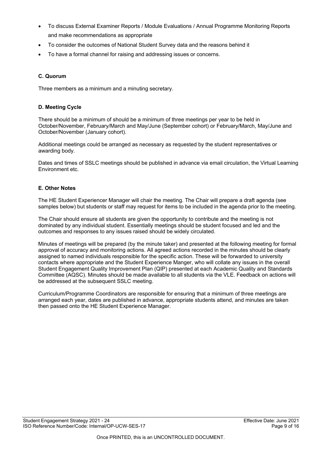- To discuss External Examiner Reports / Module Evaluations / Annual Programme Monitoring Reports and make recommendations as appropriate
- To consider the outcomes of National Student Survey data and the reasons behind it
- To have a formal channel for raising and addressing issues or concerns.

#### **C. Quorum**

Three members as a minimum and a minuting secretary.

#### **D. Meeting Cycle**

There should be a minimum of should be a minimum of three meetings per year to be held in October/November, February/March and May/June (September cohort) or February/March, May/June and October/November (January cohort).

Additional meetings could be arranged as necessary as requested by the student representatives or awarding body.

Dates and times of SSLC meetings should be published in advance via email circulation, the Virtual Learning Environment etc.

#### **E. Other Notes**

The HE Student Experiencer Manager will chair the meeting. The Chair will prepare a draft agenda (see samples below) but students or staff may request for items to be included in the agenda prior to the meeting.

The Chair should ensure all students are given the opportunity to contribute and the meeting is not dominated by any individual student. Essentially meetings should be student focused and led and the outcomes and responses to any issues raised should be widely circulated.

Minutes of meetings will be prepared (by the minute taker) and presented at the following meeting for formal approval of accuracy and monitoring actions. All agreed actions recorded in the minutes should be clearly assigned to named individuals responsible for the specific action. These will be forwarded to university contacts where appropriate and the Student Experience Manger, who will collate any issues in the overall Student Engagement Quality Improvement Plan (QIP) presented at each Academic Quality and Standards Committee (AQSC). Minutes should be made available to all students via the VLE. Feedback on actions will be addressed at the subsequent SSLC meeting.

Curriculum/Programme Coordinators are responsible for ensuring that a minimum of three meetings are arranged each year, dates are published in advance, appropriate students attend, and minutes are taken then passed onto the HE Student Experience Manager.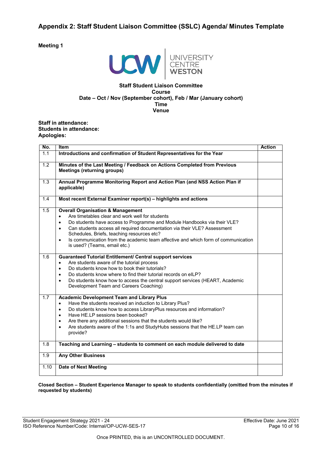### <span id="page-9-0"></span>**Appendix 2: Staff Student Liaison Committee (SSLC) Agenda/ Minutes Template**

**Meeting 1** 



#### **Staff Student Liaison Committee Course Date – Oct / Nov (September cohort), Feb / Mar (January cohort) Time Venue**

#### **Staff in attendance: Students in attendance: Apologies:**

| No.              | <b>Item</b>                                                                                                                                                                                                                                                                                                                                                                                                                                                                    | <b>Action</b> |
|------------------|--------------------------------------------------------------------------------------------------------------------------------------------------------------------------------------------------------------------------------------------------------------------------------------------------------------------------------------------------------------------------------------------------------------------------------------------------------------------------------|---------------|
| 1.1              | Introductions and confirmation of Student Representatives for the Year                                                                                                                                                                                                                                                                                                                                                                                                         |               |
| $\overline{1.2}$ | Minutes of the Last Meeting / Feedback on Actions Completed from Previous<br><b>Meetings (returning groups)</b>                                                                                                                                                                                                                                                                                                                                                                |               |
| 1.3              | Annual Programme Monitoring Report and Action Plan (and NSS Action Plan if<br>applicable)                                                                                                                                                                                                                                                                                                                                                                                      |               |
| 1.4              | Most recent External Examiner report(s) - highlights and actions                                                                                                                                                                                                                                                                                                                                                                                                               |               |
| 1.5              | <b>Overall Organisation &amp; Management</b><br>Are timetables clear and work well for students<br>$\bullet$<br>Do students have access to Programme and Module Handbooks via their VLE?<br>$\bullet$<br>Can students access all required documentation via their VLE? Assessment<br>$\bullet$<br>Schedules, Briefs, teaching resources etc?<br>Is communication from the academic team affective and which form of communication<br>$\bullet$<br>is used? (Teams, email etc.) |               |
| 1.6              | <b>Guaranteed Tutorial Entitlement/ Central support services</b><br>Are students aware of the tutorial process<br>$\bullet$<br>Do students know how to book their tutorials?<br>$\bullet$<br>Do students know where to find their tutorial records on eILP?<br>$\bullet$<br>Do students know how to access the central support services (HEART, Academic<br>$\bullet$<br>Development Team and Careers Coaching)                                                                |               |
| 1.7              | <b>Academic Development Team and Library Plus</b><br>Have the students received an induction to Library Plus?<br>$\bullet$<br>Do students know how to access LibraryPlus resources and information?<br>$\bullet$<br>Have HE.LP sessions been booked?<br>$\bullet$<br>Are there any additional sessions that the students would like?<br>$\bullet$<br>Are students aware of the 1:1s and StudyHubs sessions that the HE.LP team can<br>$\bullet$<br>provide?                    |               |
| 1.8              | Teaching and Learning - students to comment on each module delivered to date                                                                                                                                                                                                                                                                                                                                                                                                   |               |
| 1.9              | <b>Any Other Business</b>                                                                                                                                                                                                                                                                                                                                                                                                                                                      |               |
| 1.10             | <b>Date of Next Meeting</b>                                                                                                                                                                                                                                                                                                                                                                                                                                                    |               |

#### **Closed Section – Student Experience Manager to speak to students confidentially (omitted from the minutes if requested by students)**

Student Engagement Strategy 2021 - 24 ISO Reference Number/Code: Internal/OP-UCW-SES-17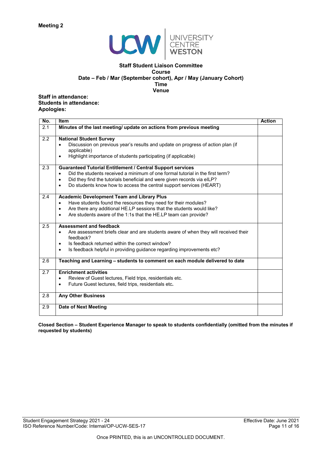

#### **Staff Student Liaison Committee Course Date – Feb / Mar (September cohort), Apr / May (January Cohort) Time Venue**

**Staff in attendance: Students in attendance: Apologies:** 

| No. | <b>Item</b>                                                                                                                                                                                                                                                                                                                    | <b>Action</b> |
|-----|--------------------------------------------------------------------------------------------------------------------------------------------------------------------------------------------------------------------------------------------------------------------------------------------------------------------------------|---------------|
| 2.1 | Minutes of the last meeting/ update on actions from previous meeting                                                                                                                                                                                                                                                           |               |
| 2.2 | <b>National Student Survey</b><br>Discussion on previous year's results and update on progress of action plan (if<br>applicable)<br>Highlight importance of students participating (if applicable)<br>$\bullet$                                                                                                                |               |
| 2.3 | <b>Guaranteed Tutorial Entitlement / Central Support services</b><br>Did the students received a minimum of one formal tutorial in the first term?<br>Did they find the tutorials beneficial and were given records via eILP?<br>$\bullet$<br>Do students know how to access the central support services (HEART)<br>$\bullet$ |               |
| 2.4 | <b>Academic Development Team and Library Plus</b><br>Have students found the resources they need for their modules?<br>$\bullet$<br>Are there any additional HE.LP sessions that the students would like?<br>$\bullet$<br>Are students aware of the 1:1s that the HE.LP team can provide?<br>$\bullet$                         |               |
| 2.5 | <b>Assessment and feedback</b><br>Are assessment briefs clear and are students aware of when they will received their<br>$\bullet$<br>feedback?<br>Is feedback returned within the correct window?<br>$\bullet$<br>Is feedback helpful in providing guidance regarding improvements etc?<br>$\bullet$                          |               |
| 2.6 | Teaching and Learning – students to comment on each module delivered to date                                                                                                                                                                                                                                                   |               |
| 2.7 | <b>Enrichment activities</b><br>Review of Guest lectures, Field trips, residentials etc.<br>$\bullet$<br>Future Guest lectures, field trips, residentials etc.<br>$\bullet$                                                                                                                                                    |               |
| 2.8 | <b>Any Other Business</b>                                                                                                                                                                                                                                                                                                      |               |
| 2.9 | <b>Date of Next Meeting</b>                                                                                                                                                                                                                                                                                                    |               |

**Closed Section – Student Experience Manager to speak to students confidentially (omitted from the minutes if requested by students)**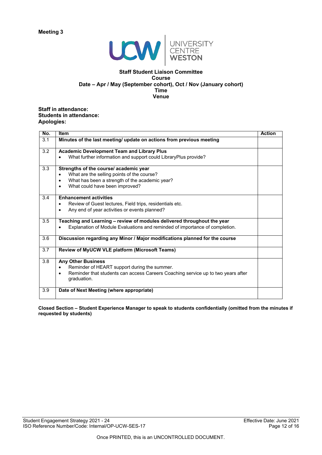

#### **Staff Student Liaison Committee Course Date – Apr / May (September cohort), Oct / Nov (January cohort) Time Venue**

#### **Staff in attendance: Students in attendance: Apologies:**

| No. | <b>Item</b>                                                                              | <b>Action</b> |
|-----|------------------------------------------------------------------------------------------|---------------|
| 3.1 | Minutes of the last meeting/ update on actions from previous meeting                     |               |
| 3.2 | <b>Academic Development Team and Library Plus</b>                                        |               |
|     | What further information and support could LibraryPlus provide?<br>$\bullet$             |               |
| 3.3 | Strengths of the course/ academic year                                                   |               |
|     | What are the selling points of the course?<br>$\bullet$                                  |               |
|     | What has been a strength of the academic year?<br>$\bullet$                              |               |
|     | What could have been improved?<br>$\bullet$                                              |               |
| 3.4 | <b>Enhancement activities</b>                                                            |               |
|     | Review of Guest lectures, Field trips, residentials etc.<br>$\bullet$                    |               |
|     | Any end of year activities or events planned?<br>$\bullet$                               |               |
|     |                                                                                          |               |
| 3.5 | Teaching and Learning - review of modules delivered throughout the year                  |               |
|     | Explanation of Module Evaluations and reminded of importance of completion.<br>$\bullet$ |               |
| 3.6 | Discussion regarding any Minor / Major modifications planned for the course              |               |
| 3.7 | Review of MyUCW VLE platform (Microsoft Teams)                                           |               |
| 3.8 | <b>Any Other Business</b>                                                                |               |
|     | Reminder of HEART support during the summer.<br>$\bullet$                                |               |
|     | Reminder that students can access Careers Coaching service up to two years after         |               |
|     | graduation.                                                                              |               |
| 3.9 | Date of Next Meeting (where appropriate)                                                 |               |
|     |                                                                                          |               |

**Closed Section – Student Experience Manager to speak to students confidentially (omitted from the minutes if requested by students)**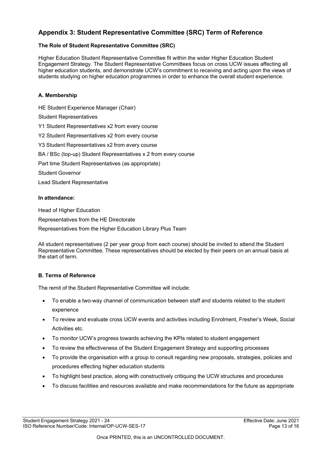# <span id="page-12-0"></span>**Appendix 3: Student Representative Committee (SRC) Term of Reference**

### **The Role of Student Representative Committee (SRC)**

Higher Education Student Representative Committee fit within the wider Higher Education Student Engagement Strategy. The Student Representative Committees focus on cross UCW issues affecting all higher education students, and demonstrate UCW's commitment to receiving and acting upon the views of students studying on higher education programmes in order to enhance the overall student experience.

#### **A. Membership**

HE Student Experience Manager (Chair) Student Representatives Y1 Student Representatives x2 from every course Y2 Student Representatives x2 from every course Y3 Student Representatives x2 from every course BA / BSc (top-up) Student Representatives x 2 from every course Part time Student Representatives (as appropriate) Student Governor Lead Student Representative

#### **In attendance:**

Head of Higher Education

Representatives from the HE Directorate

Representatives from the Higher Education Library Plus Team

All student representatives (2 per year group from each course) should be invited to attend the Student Representative Committee. These representatives should be elected by their peers on an annual basis at the start of term.

#### **B. Terms of Reference**

The remit of the Student Representative Committee will include:

- To enable a two-way channel of communication between staff and students related to the student experience
- To review and evaluate cross UCW events and activities including Enrolment, Fresher's Week, Social Activities etc.
- To monitor UCW's progress towards achieving the KPIs related to student engagement
- To review the effectiveness of the Student Engagement Strategy and supporting processes
- To provide the organisation with a group to consult regarding new proposals, strategies, policies and procedures effecting higher education students
- To highlight best practice, along with constructively critiquing the UCW structures and procedures
- To discuss facilities and resources available and make recommendations for the future as appropriate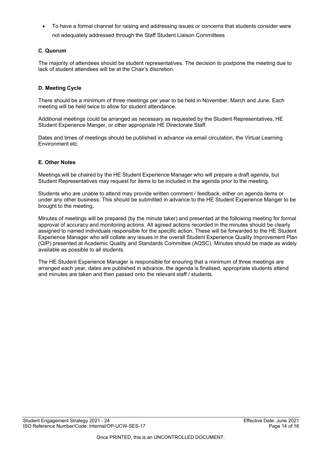• To have a formal channel for raising and addressing issues or concerns that students consider were not adequately addressed through the Staff Student Liaison Committees

### **C. Quorum**

The majority of attendees should be student representatives. The decision to postpone the meeting due to lack of student attendees will be at the Chair's discretion.

### **D. Meeting Cycle**

There should be a minimum of three meetings per year to be held in November, March and June. Each meeting will be held twice to allow for student attendance.

Additional meetings could be arranged as necessary as requested by the Student Representatives, HE Student Experience Manger, or other appropriate HE Directorate Staff.

Dates and times of meetings should be published in advance via email circulation, the Virtual Learning Environment etc.

#### **E. Other Notes**

Meetings will be chaired by the HE Student Experience Manager who will prepare a draft agenda, but Student Representatives may request for items to be included in the agenda prior to the meeting.

Students who are unable to attend may provide written comment / feedback, either on agenda items or under any other business. This should be submitted in advance to the HE Student Experience Manger to be brought to the meeting.

Minutes of meetings will be prepared (by the minute taker) and presented at the following meeting for formal approval of accuracy and monitoring actions. All agreed actions recorded in the minutes should be clearly assigned to named individuals responsible for the specific action. These will be forwarded to the HE Student Experience Manager who will collate any issues in the overall Student Experience Quality Improvement Plan (QIP) presented at Academic Quality and Standards Committee (AQSC). Minutes should be made as widely available as possible to all students.

The HE Student Experience Manager is responsible for ensuring that a minimum of three meetings are arranged each year, dates are published in advance, the agenda is finalised, appropriate students attend and minutes are taken and then passed onto the relevant staff / students.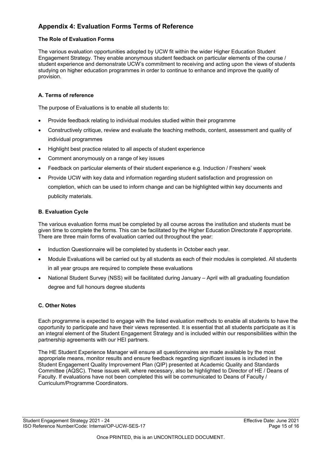# <span id="page-14-0"></span>**Appendix 4: Evaluation Forms Terms of Reference**

### **The Role of Evaluation Forms**

The various evaluation opportunities adopted by UCW fit within the wider Higher Education Student Engagement Strategy. They enable anonymous student feedback on particular elements of the course / student experience and demonstrate UCW's commitment to receiving and acting upon the views of students studying on higher education programmes in order to continue to enhance and improve the quality of provision.

### **A. Terms of reference**

The purpose of Evaluations is to enable all students to:

- Provide feedback relating to individual modules studied within their programme
- Constructively critique, review and evaluate the teaching methods, content, assessment and quality of individual programmes
- Highlight best practice related to all aspects of student experience
- Comment anonymously on a range of key issues
- Feedback on particular elements of their student experience e.g. Induction / Freshers' week
- Provide UCW with key data and information regarding student satisfaction and progression on completion, which can be used to inform change and can be highlighted within key documents and publicity materials.

### **B. Evaluation Cycle**

The various evaluation forms must be completed by all course across the institution and students must be given time to complete the forms. This can be facilitated by the Higher Education Directorate if appropriate. There are three main forms of evaluation carried out throughout the year:

- Induction Questionnaire will be completed by students in October each year.
- Module Evaluations will be carried out by all students as each of their modules is completed. All students in all year groups are required to complete these evaluations
- National Student Survey (NSS) will be facilitated during January April with all graduating foundation degree and full honours degree students

### **C. Other Notes**

Each programme is expected to engage with the listed evaluation methods to enable all students to have the opportunity to participate and have their views represented. It is essential that all students participate as it is an integral element of the Student Engagement Strategy and is included within our responsibilities within the partnership agreements with our HEI partners.

The HE Student Experience Manager will ensure all questionnaires are made available by the most appropriate means, monitor results and ensure feedback regarding significant issues is included in the Student Engagement Quality Improvement Plan (QIP) presented at Academic Quality and Standards Committee (AQSC). These issues will, where necessary, also be highlighted to Director of HE / Deans of Faculty. If evaluations have not been completed this will be communicated to Deans of Faculty / Curriculum/Programme Coordinators.